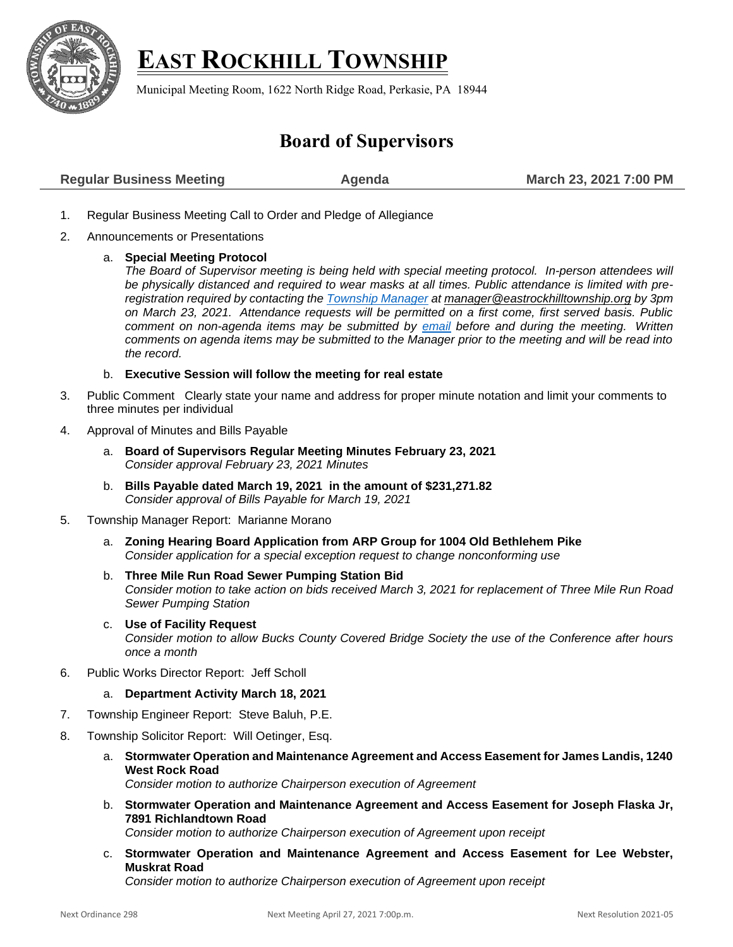

## **EAST ROCKHILL TOWNSHIP**

Municipal Meeting Room, 1622 North Ridge Road, Perkasie, PA 18944

## **Board of Supervisors**

| <b>Regular Business Meeting</b> | Agenda | March 23, 2021 7:00 PM |
|---------------------------------|--------|------------------------|
|                                 |        |                        |

- 1. Regular Business Meeting Call to Order and Pledge of Allegiance
- 2. Announcements or Presentations
	- a. **Special Meeting Protocol**

*The Board of Supervisor meeting is being held with special meeting protocol. In-person attendees will be physically distanced and required to wear masks at all times. Public attendance is limited with preregistration required by contacting the [Township Manager](mailto:Manager@EastRockhillTownship.org?subject=Attendance%20Request%203/23/2021%20Supervisor%20Meeting) at [manager@eastrockhilltownship.org](mailto:Manager@EastRockhillTownship.org) by 3pm on March 23, 2021. Attendance requests will be permitted on a first come, first served basis. Public comment on non-agenda items may be submitted by [email](mailto:Manager@EastRockhillTownship.org?subject=Public%20Comment%203/23/2021%20Supervisor%20Meeting) before and during the meeting. Written comments on agenda items may be submitted to the Manager prior to the meeting and will be read into the record.* 

b. **Executive Session will follow the meeting for real estate**

- 3. Public Comment Clearly state your name and address for proper minute notation and limit your comments to three minutes per individual
- 4. Approval of Minutes and Bills Payable
	- a. **Board of Supervisors Regular Meeting Minutes February 23, 2021** *Consider approval February 23, 2021 Minutes*
	- b. **Bills Payable dated March 19, 2021 in the amount of \$231,271.82** *Consider approval of Bills Payable for March 19, 2021*
- 5. Township Manager Report: Marianne Morano
	- a. **Zoning Hearing Board Application from ARP Group for 1004 Old Bethlehem Pike** *Consider application for a special exception request to change nonconforming use*
	- b. **Three Mile Run Road Sewer Pumping Station Bid**  *Consider motion to take action on bids received March 3, 2021 for replacement of Three Mile Run Road Sewer Pumping Station*
	- c. **Use of Facility Request** *Consider motion to allow Bucks County Covered Bridge Society the use of the Conference after hours once a month*
- 6. Public Works Director Report: Jeff Scholl
	- a. **Department Activity March 18, 2021**
- 7. Township Engineer Report: Steve Baluh, P.E.
- 8. Township Solicitor Report: Will Oetinger, Esq.
	- a. **Stormwater Operation and Maintenance Agreement and Access Easement for James Landis, 1240 West Rock Road** *Consider motion to authorize Chairperson execution of Agreement*
	- b. **Stormwater Operation and Maintenance Agreement and Access Easement for Joseph Flaska Jr, 7891 Richlandtown Road**

*Consider motion to authorize Chairperson execution of Agreement upon receipt*

c. **Stormwater Operation and Maintenance Agreement and Access Easement for Lee Webster, Muskrat Road**

*Consider motion to authorize Chairperson execution of Agreement upon receipt*